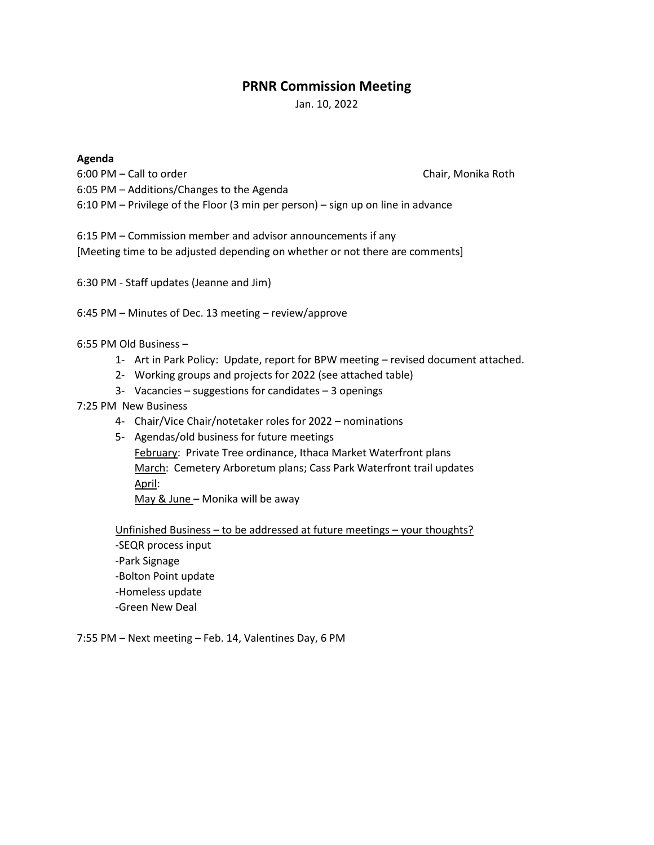# **PRNR Commission Meeting**

Jan. 10, 2022

## **Agenda**

6:00 PM – Call to order Chair, Monika Roth Chair, Monika Roth 6:05 PM – Additions/Changes to the Agenda 6:10 PM – Privilege of the Floor (3 min per person) – sign up on line in advance

6:15 PM – Commission member and advisor announcements if any [Meeting time to be adjusted depending on whether or not there are comments]

6:30 PM - Staff updates (Jeanne and Jim)

6:45 PM – Minutes of Dec. 13 meeting – review/approve

6:55 PM Old Business –

- 1- Art in Park Policy: Update, report for BPW meeting revised document attached.
- 2- Working groups and projects for 2022 (see attached table)
- 3- Vacancies suggestions for candidates 3 openings

### 7:25 PM New Business

- 4- Chair/Vice Chair/notetaker roles for 2022 nominations
- 5- Agendas/old business for future meetings

February: Private Tree ordinance, Ithaca Market Waterfront plans March: Cemetery Arboretum plans; Cass Park Waterfront trail updates April:

May & June – Monika will be away

Unfinished Business – to be addressed at future meetings – your thoughts? -SEQR process input -Park Signage -Bolton Point update -Homeless update -Green New Deal

7:55 PM – Next meeting – Feb. 14, Valentines Day, 6 PM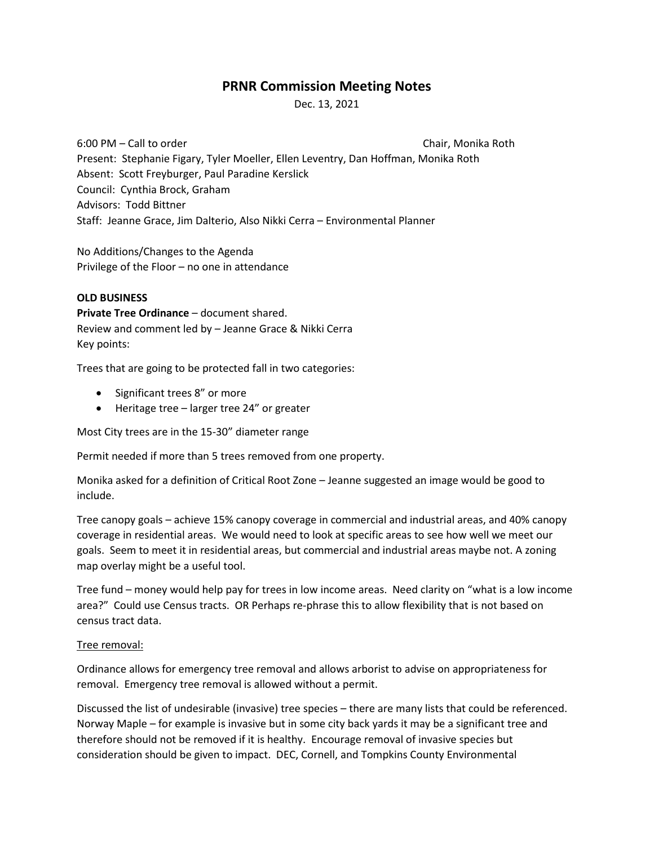# **PRNR Commission Meeting Notes**

Dec. 13, 2021

6:00 PM – Call to order Chair, Monika Roth Chair, Monika Roth Present: Stephanie Figary, Tyler Moeller, Ellen Leventry, Dan Hoffman, Monika Roth Absent: Scott Freyburger, Paul Paradine Kerslick Council: Cynthia Brock, Graham Advisors: Todd Bittner Staff: Jeanne Grace, Jim Dalterio, Also Nikki Cerra – Environmental Planner

No Additions/Changes to the Agenda Privilege of the Floor – no one in attendance

## **OLD BUSINESS**

**Private Tree Ordinance** – document shared. Review and comment led by – Jeanne Grace & Nikki Cerra Key points:

Trees that are going to be protected fall in two categories:

- Significant trees 8" or more
- Heritage tree larger tree 24" or greater

Most City trees are in the 15-30" diameter range

Permit needed if more than 5 trees removed from one property.

Monika asked for a definition of Critical Root Zone – Jeanne suggested an image would be good to include.

Tree canopy goals – achieve 15% canopy coverage in commercial and industrial areas, and 40% canopy coverage in residential areas. We would need to look at specific areas to see how well we meet our goals. Seem to meet it in residential areas, but commercial and industrial areas maybe not. A zoning map overlay might be a useful tool.

Tree fund – money would help pay for trees in low income areas. Need clarity on "what is a low income area?" Could use Census tracts. OR Perhaps re-phrase this to allow flexibility that is not based on census tract data.

## Tree removal:

Ordinance allows for emergency tree removal and allows arborist to advise on appropriateness for removal. Emergency tree removal is allowed without a permit.

Discussed the list of undesirable (invasive) tree species – there are many lists that could be referenced. Norway Maple – for example is invasive but in some city back yards it may be a significant tree and therefore should not be removed if it is healthy. Encourage removal of invasive species but consideration should be given to impact. DEC, Cornell, and Tompkins County Environmental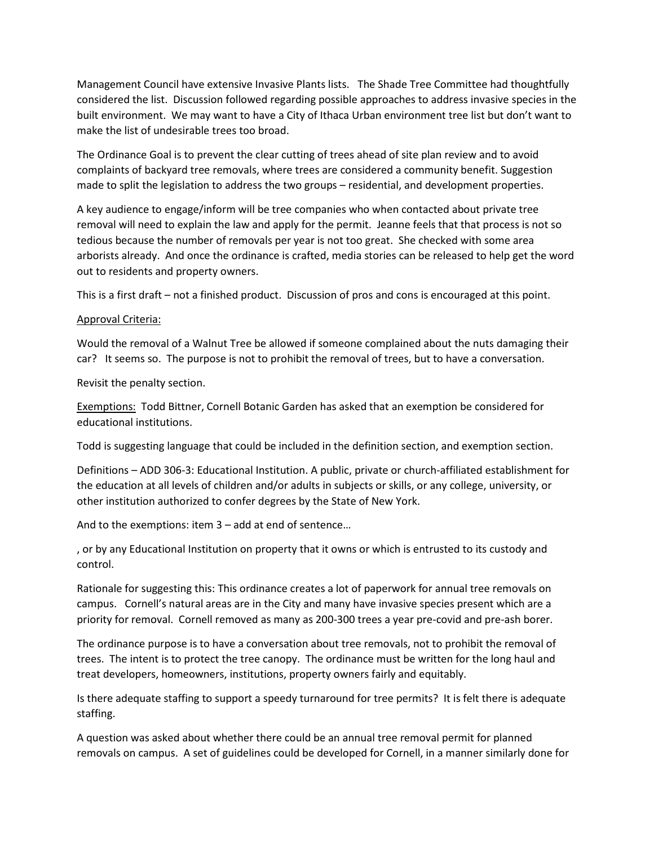Management Council have extensive Invasive Plants lists. The Shade Tree Committee had thoughtfully considered the list. Discussion followed regarding possible approaches to address invasive species in the built environment. We may want to have a City of Ithaca Urban environment tree list but don't want to make the list of undesirable trees too broad.

The Ordinance Goal is to prevent the clear cutting of trees ahead of site plan review and to avoid complaints of backyard tree removals, where trees are considered a community benefit. Suggestion made to split the legislation to address the two groups – residential, and development properties.

A key audience to engage/inform will be tree companies who when contacted about private tree removal will need to explain the law and apply for the permit. Jeanne feels that that process is not so tedious because the number of removals per year is not too great. She checked with some area arborists already. And once the ordinance is crafted, media stories can be released to help get the word out to residents and property owners.

This is a first draft – not a finished product. Discussion of pros and cons is encouraged at this point.

### Approval Criteria:

Would the removal of a Walnut Tree be allowed if someone complained about the nuts damaging their car? It seems so. The purpose is not to prohibit the removal of trees, but to have a conversation.

Revisit the penalty section.

Exemptions: Todd Bittner, Cornell Botanic Garden has asked that an exemption be considered for educational institutions.

Todd is suggesting language that could be included in the definition section, and exemption section.

Definitions – ADD 306-3: Educational Institution. A public, private or church-affiliated establishment for the education at all levels of children and/or adults in subjects or skills, or any college, university, or other institution authorized to confer degrees by the State of New York.

And to the exemptions: item 3 – add at end of sentence…

, or by any Educational Institution on property that it owns or which is entrusted to its custody and control.

Rationale for suggesting this: This ordinance creates a lot of paperwork for annual tree removals on campus. Cornell's natural areas are in the City and many have invasive species present which are a priority for removal. Cornell removed as many as 200-300 trees a year pre-covid and pre-ash borer.

The ordinance purpose is to have a conversation about tree removals, not to prohibit the removal of trees. The intent is to protect the tree canopy. The ordinance must be written for the long haul and treat developers, homeowners, institutions, property owners fairly and equitably.

Is there adequate staffing to support a speedy turnaround for tree permits? It is felt there is adequate staffing.

A question was asked about whether there could be an annual tree removal permit for planned removals on campus. A set of guidelines could be developed for Cornell, in a manner similarly done for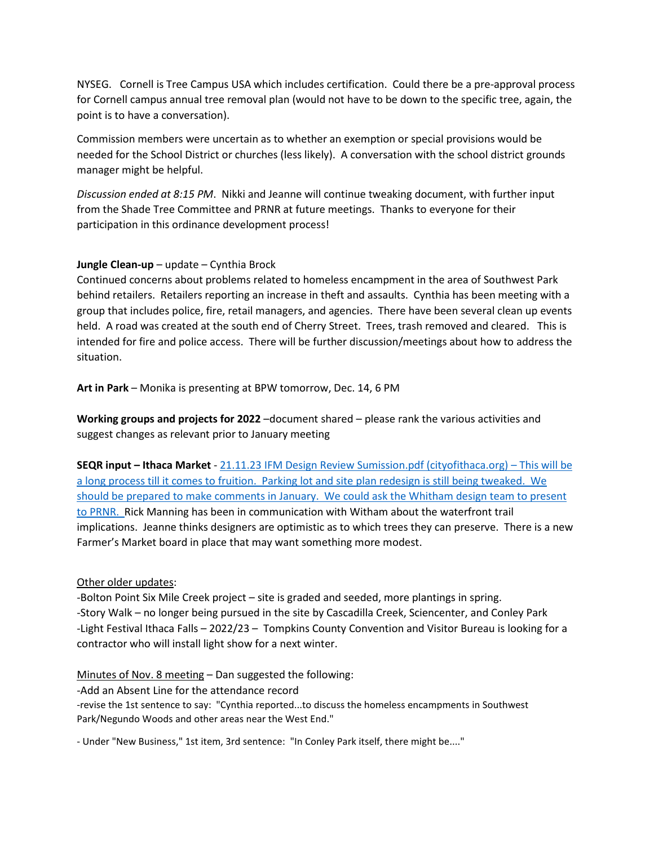NYSEG. Cornell is Tree Campus USA which includes certification. Could there be a pre-approval process for Cornell campus annual tree removal plan (would not have to be down to the specific tree, again, the point is to have a conversation).

Commission members were uncertain as to whether an exemption or special provisions would be needed for the School District or churches (less likely). A conversation with the school district grounds manager might be helpful.

*Discussion ended at 8:15 PM*. Nikki and Jeanne will continue tweaking document, with further input from the Shade Tree Committee and PRNR at future meetings. Thanks to everyone for their participation in this ordinance development process!

## **Jungle Clean-up** – update – Cynthia Brock

Continued concerns about problems related to homeless encampment in the area of Southwest Park behind retailers. Retailers reporting an increase in theft and assaults. Cynthia has been meeting with a group that includes police, fire, retail managers, and agencies. There have been several clean up events held. A road was created at the south end of Cherry Street. Trees, trash removed and cleared. This is intended for fire and police access. There will be further discussion/meetings about how to address the situation.

**Art in Park** – Monika is presenting at BPW tomorrow, Dec. 14, 6 PM

**Working groups and projects for 2022** –document shared – please rank the various activities and suggest changes as relevant prior to January meeting

**SEQR input – Ithaca Market** - [21.11.23 IFM Design Review Sumission.pdf \(cityofithaca.org\)](https://www.cityofithaca.org/DocumentCenter/View/13427/2021-11-23-IFM-Design-Review) – This will be a long process till it comes to fruition. Parking lot and site plan redesign is still being tweaked. We should be prepared to make comments in January. We could ask the Whitham design team to present to PRNR. Rick Manning has been in communication with Witham about the waterfront trail implications. Jeanne thinks designers are optimistic as to which trees they can preserve. There is a new Farmer's Market board in place that may want something more modest.

## Other older updates:

-Bolton Point Six Mile Creek project – site is graded and seeded, more plantings in spring. -Story Walk – no longer being pursued in the site by Cascadilla Creek, Sciencenter, and Conley Park -Light Festival Ithaca Falls – 2022/23 – Tompkins County Convention and Visitor Bureau is looking for a contractor who will install light show for a next winter.

Minutes of Nov. 8 meeting – Dan suggested the following:

-Add an Absent Line for the attendance record

-revise the 1st sentence to say: "Cynthia reported...to discuss the homeless encampments in Southwest Park/Negundo Woods and other areas near the West End."

- Under "New Business," 1st item, 3rd sentence: "In Conley Park itself, there might be...."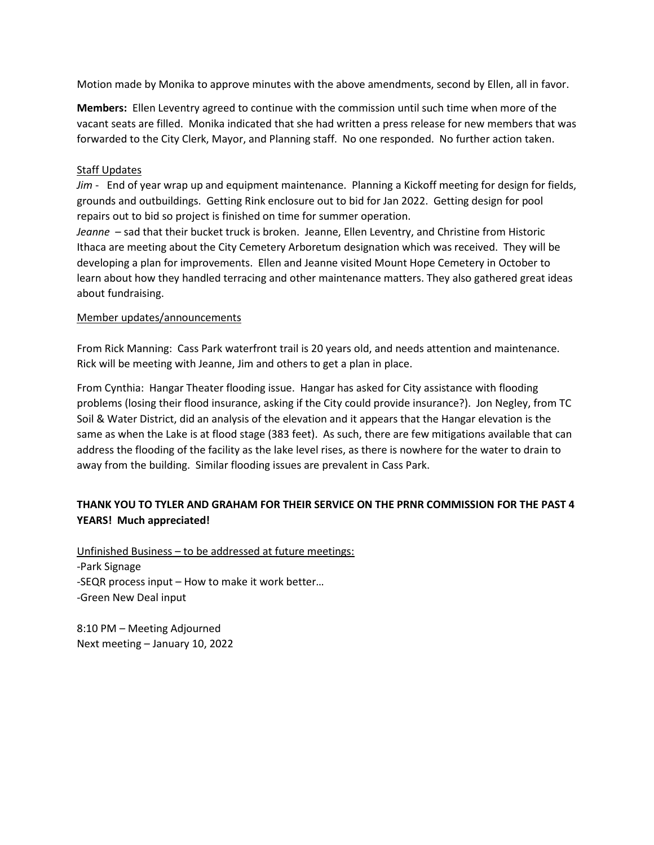Motion made by Monika to approve minutes with the above amendments, second by Ellen, all in favor.

**Members:** Ellen Leventry agreed to continue with the commission until such time when more of the vacant seats are filled. Monika indicated that she had written a press release for new members that was forwarded to the City Clerk, Mayor, and Planning staff. No one responded. No further action taken.

## **Staff Updates**

*Jim* - End of year wrap up and equipment maintenance. Planning a Kickoff meeting for design for fields, grounds and outbuildings. Getting Rink enclosure out to bid for Jan 2022. Getting design for pool repairs out to bid so project is finished on time for summer operation.

*Jeanne* – sad that their bucket truck is broken. Jeanne, Ellen Leventry, and Christine from Historic Ithaca are meeting about the City Cemetery Arboretum designation which was received. They will be developing a plan for improvements. Ellen and Jeanne visited Mount Hope Cemetery in October to learn about how they handled terracing and other maintenance matters. They also gathered great ideas about fundraising.

## Member updates/announcements

From Rick Manning: Cass Park waterfront trail is 20 years old, and needs attention and maintenance. Rick will be meeting with Jeanne, Jim and others to get a plan in place.

From Cynthia: Hangar Theater flooding issue. Hangar has asked for City assistance with flooding problems (losing their flood insurance, asking if the City could provide insurance?). Jon Negley, from TC Soil & Water District, did an analysis of the elevation and it appears that the Hangar elevation is the same as when the Lake is at flood stage (383 feet). As such, there are few mitigations available that can address the flooding of the facility as the lake level rises, as there is nowhere for the water to drain to away from the building. Similar flooding issues are prevalent in Cass Park.

# **THANK YOU TO TYLER AND GRAHAM FOR THEIR SERVICE ON THE PRNR COMMISSION FOR THE PAST 4 YEARS! Much appreciated!**

Unfinished Business – to be addressed at future meetings: -Park Signage -SEQR process input – How to make it work better… -Green New Deal input

8:10 PM – Meeting Adjourned Next meeting – January 10, 2022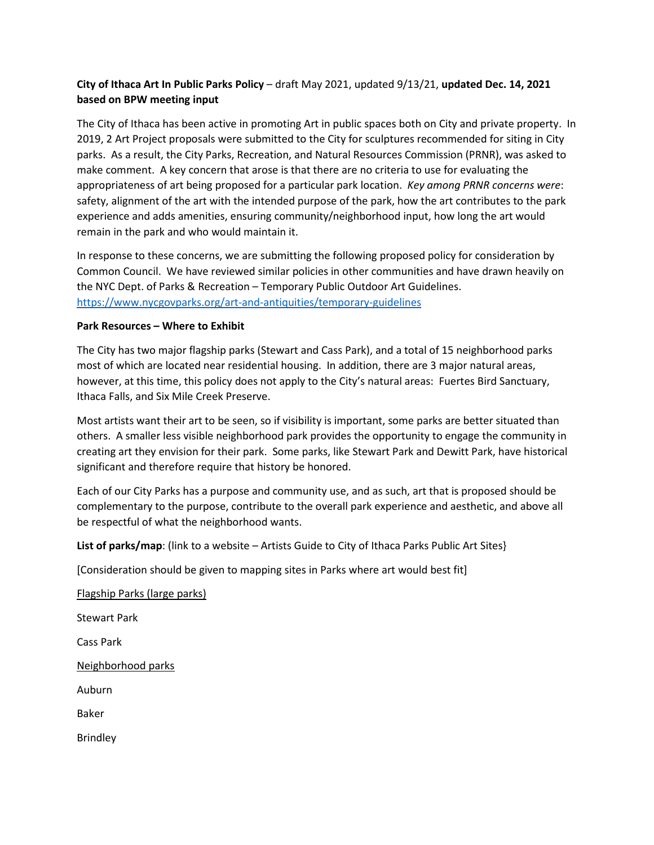## **City of Ithaca Art In Public Parks Policy** – draft May 2021, updated 9/13/21, **updated Dec. 14, 2021 based on BPW meeting input**

The City of Ithaca has been active in promoting Art in public spaces both on City and private property. In 2019, 2 Art Project proposals were submitted to the City for sculptures recommended for siting in City parks. As a result, the City Parks, Recreation, and Natural Resources Commission (PRNR), was asked to make comment. A key concern that arose is that there are no criteria to use for evaluating the appropriateness of art being proposed for a particular park location. *Key among PRNR concerns were*: safety, alignment of the art with the intended purpose of the park, how the art contributes to the park experience and adds amenities, ensuring community/neighborhood input, how long the art would remain in the park and who would maintain it.

In response to these concerns, we are submitting the following proposed policy for consideration by Common Council. We have reviewed similar policies in other communities and have drawn heavily on the NYC Dept. of Parks & Recreation – Temporary Public Outdoor Art Guidelines. <https://www.nycgovparks.org/art-and-antiquities/temporary-guidelines>

## **Park Resources – Where to Exhibit**

The City has two major flagship parks (Stewart and Cass Park), and a total of 15 neighborhood parks most of which are located near residential housing. In addition, there are 3 major natural areas, however, at this time, this policy does not apply to the City's natural areas: Fuertes Bird Sanctuary, Ithaca Falls, and Six Mile Creek Preserve.

Most artists want their art to be seen, so if visibility is important, some parks are better situated than others. A smaller less visible neighborhood park provides the opportunity to engage the community in creating art they envision for their park. Some parks, like Stewart Park and Dewitt Park, have historical significant and therefore require that history be honored.

Each of our City Parks has a purpose and community use, and as such, art that is proposed should be complementary to the purpose, contribute to the overall park experience and aesthetic, and above all be respectful of what the neighborhood wants.

**List of parks/map**: (link to a website – Artists Guide to City of Ithaca Parks Public Art Sites}

[Consideration should be given to mapping sites in Parks where art would best fit]

Flagship Parks (large parks) Stewart Park Cass Park Neighborhood parks Auburn

Baker

Brindley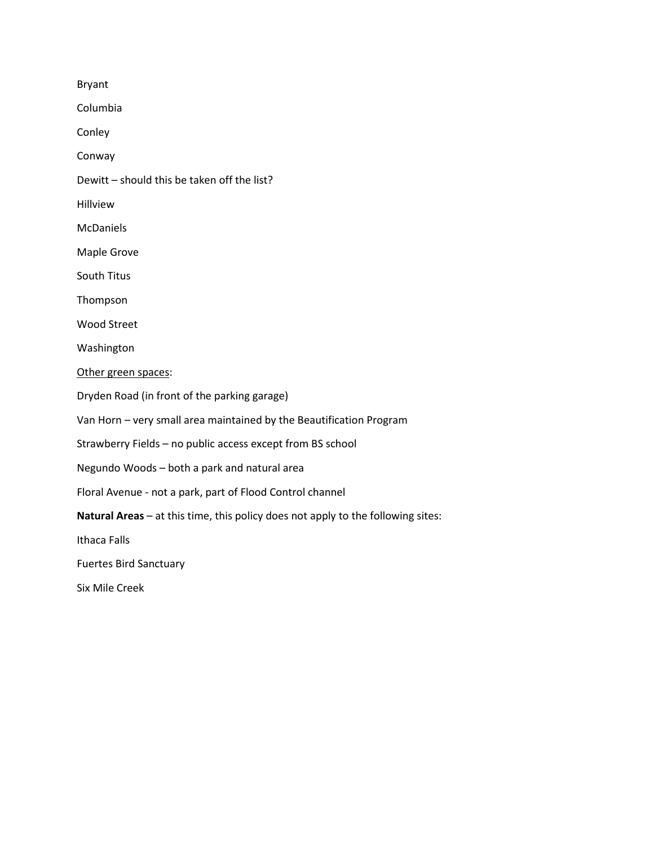Bryant

Columbia

Conley

Conway

Dewitt – should this be taken off the list?

Hillview

McDaniels

Maple Grove

South Titus

Thompson

Wood Street

Washington

Other green spaces:

Dryden Road (in front of the parking garage)

Van Horn – very small area maintained by the Beautification Program

Strawberry Fields – no public access except from BS school

Negundo Woods – both a park and natural area

Floral Avenue - not a park, part of Flood Control channel

**Natural Areas** – at this time, this policy does not apply to the following sites:

Ithaca Falls

Fuertes Bird Sanctuary

Six Mile Creek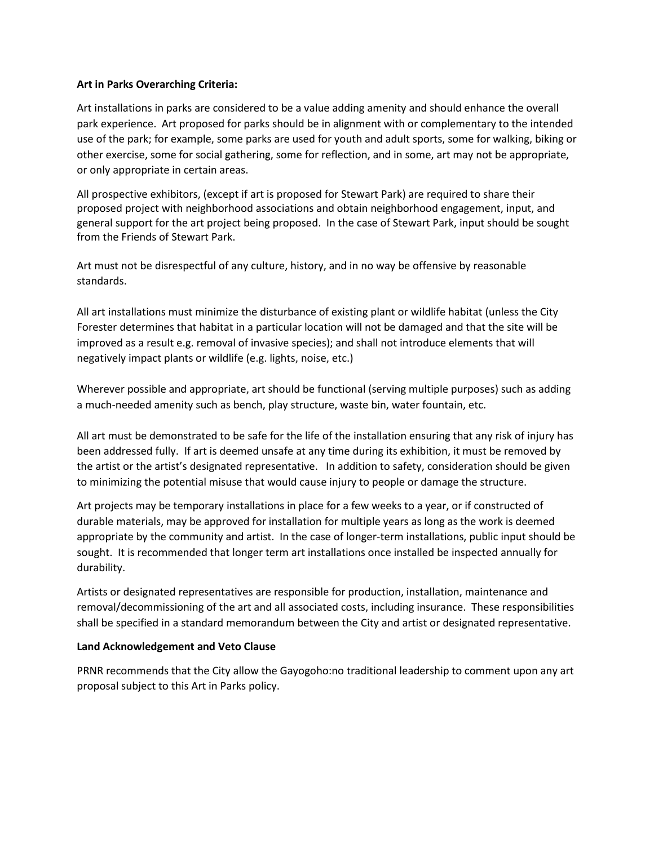## **Art in Parks Overarching Criteria:**

Art installations in parks are considered to be a value adding amenity and should enhance the overall park experience. Art proposed for parks should be in alignment with or complementary to the intended use of the park; for example, some parks are used for youth and adult sports, some for walking, biking or other exercise, some for social gathering, some for reflection, and in some, art may not be appropriate, or only appropriate in certain areas.

All prospective exhibitors, (except if art is proposed for Stewart Park) are required to share their proposed project with neighborhood associations and obtain neighborhood engagement, input, and general support for the art project being proposed. In the case of Stewart Park, input should be sought from the Friends of Stewart Park.

Art must not be disrespectful of any culture, history, and in no way be offensive by reasonable standards.

All art installations must minimize the disturbance of existing plant or wildlife habitat (unless the City Forester determines that habitat in a particular location will not be damaged and that the site will be improved as a result e.g. removal of invasive species); and shall not introduce elements that will negatively impact plants or wildlife (e.g. lights, noise, etc.)

Wherever possible and appropriate, art should be functional (serving multiple purposes) such as adding a much-needed amenity such as bench, play structure, waste bin, water fountain, etc.

All art must be demonstrated to be safe for the life of the installation ensuring that any risk of injury has been addressed fully. If art is deemed unsafe at any time during its exhibition, it must be removed by the artist or the artist's designated representative. In addition to safety, consideration should be given to minimizing the potential misuse that would cause injury to people or damage the structure.

Art projects may be temporary installations in place for a few weeks to a year, or if constructed of durable materials, may be approved for installation for multiple years as long as the work is deemed appropriate by the community and artist. In the case of longer-term installations, public input should be sought. It is recommended that longer term art installations once installed be inspected annually for durability.

Artists or designated representatives are responsible for production, installation, maintenance and removal/decommissioning of the art and all associated costs, including insurance. These responsibilities shall be specified in a standard memorandum between the City and artist or designated representative.

## **Land Acknowledgement and Veto Clause**

PRNR recommends that the City allow the Gayogoho:no traditional leadership to comment upon any art proposal subject to this Art in Parks policy.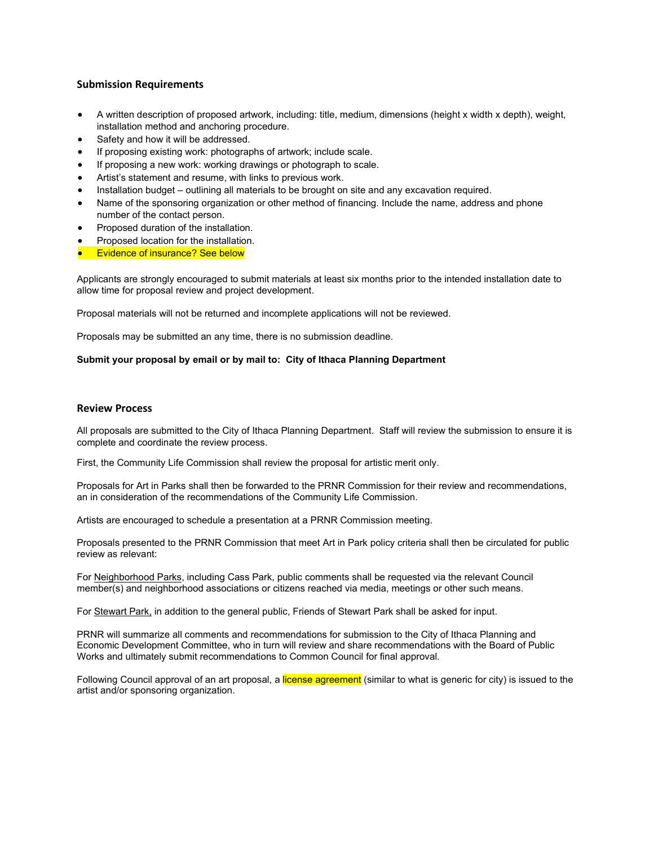### **Submission Requirements**

- A written description of proposed artwork, including: title, medium, dimensions (height x width x depth), weight, installation method and anchoring procedure.
- Safety and how it will be addressed.
- If proposing existing work: photographs of artwork; include scale.
- If proposing a new work: working drawings or photograph to scale.
- Artist's statement and resume, with links to previous work.
- Installation budget outlining all materials to be brought on site and any excavation required.
- Name of the sponsoring organization or other method of financing. Include the name, address and phone number of the contact person.
- Proposed duration of the installation.
- Proposed location for the installation.
- **Evidence of insurance? See below**

Applicants are strongly encouraged to submit materials at least six months prior to the intended installation date to allow time for proposal review and project development.

Proposal materials will not be returned and incomplete applications will not be reviewed.

Proposals may be submitted an any time, there is no submission deadline.

#### **Submit your proposal by email or by mail to: City of Ithaca Planning Department**

#### **Review Process**

All proposals are submitted to the City of Ithaca Planning Department. Staff will review the submission to ensure it is complete and coordinate the review process.

First, the Community Life Commission shall review the proposal for artistic merit only.

Proposals for Art in Parks shall then be forwarded to the PRNR Commission for their review and recommendations, an in consideration of the recommendations of the Community Life Commission.

Artists are encouraged to schedule a presentation at a PRNR Commission meeting.

Proposals presented to the PRNR Commission that meet Art in Park policy criteria shall then be circulated for public review as relevant:

For Neighborhood Parks, including Cass Park, public comments shall be requested via the relevant Council member(s) and neighborhood associations or citizens reached via media, meetings or other such means.

For Stewart Park, in addition to the general public, Friends of Stewart Park shall be asked for input.

PRNR will summarize all comments and recommendations for submission to the City of Ithaca Planning and Economic Development Committee, who in turn will review and share recommendations with the Board of Public Works and ultimately submit recommendations to Common Council for final approval.

Following Council approval of an art proposal, a license agreement (similar to what is generic for city) is issued to the artist and/or sponsoring organization.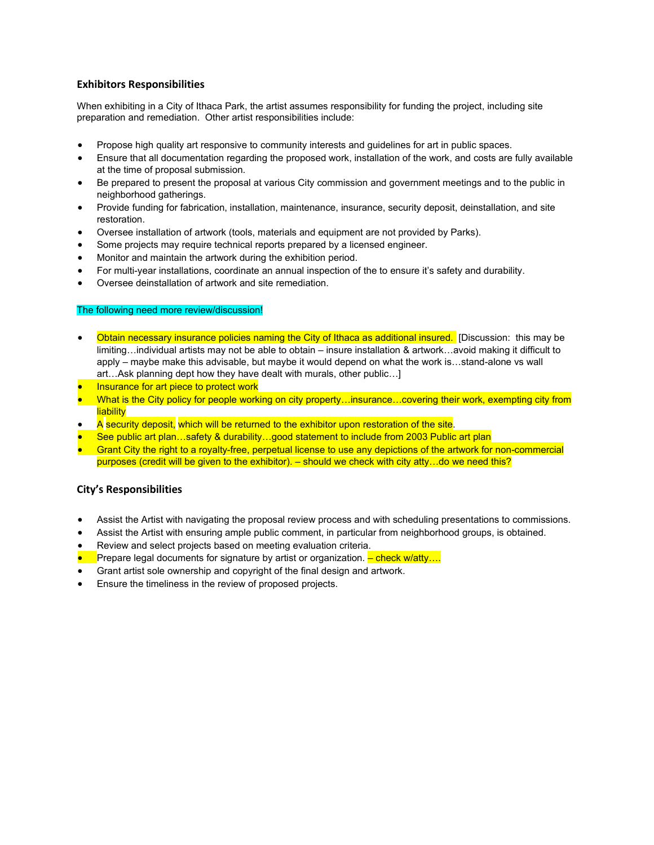### **Exhibitors Responsibilities**

When exhibiting in a City of Ithaca Park, the artist assumes responsibility for funding the project, including site preparation and remediation. Other artist responsibilities include:

- Propose high quality art responsive to community interests and guidelines for art in public spaces.
- Ensure that all documentation regarding the proposed work, installation of the work, and costs are fully available at the time of proposal submission.
- Be prepared to present the proposal at various City commission and government meetings and to the public in neighborhood gatherings.
- Provide funding for fabrication, installation, maintenance, insurance, security deposit, deinstallation, and site restoration.
- Oversee installation of artwork (tools, materials and equipment are not provided by Parks).
- Some projects may require technical reports prepared by a licensed engineer.
- Monitor and maintain the artwork during the exhibition period.
- For multi-year installations, coordinate an annual inspection of the to ensure it's safety and durability.
- Oversee deinstallation of artwork and site remediation.

### The following need more review/discussion!

- Obtain necessary insurance policies naming the City of Ithaca as additional insured. [Discussion: this may be limiting…individual artists may not be able to obtain – insure installation & artwork…avoid making it difficult to apply – maybe make this advisable, but maybe it would depend on what the work is…stand-alone vs wall art…Ask planning dept how they have dealt with murals, other public…]
- **Insurance for art piece to protect work**
- What is the City policy for people working on city property…insurance…covering their work, exempting city from liability
- A security deposit, which will be returned to the exhibitor upon restoration of the site.
- See public art plan…safety & durability…good statement to include from 2003 Public art plan
- Grant City the right to a royalty-free, perpetual license to use any depictions of the artwork for non-commercial purposes (credit will be given to the exhibitor). – should we check with city atty…do we need this?

### **City's Responsibilities**

- Assist the Artist with navigating the proposal review process and with scheduling presentations to commissions.
- Assist the Artist with ensuring ample public comment, in particular from neighborhood groups, is obtained.
- Review and select projects based on meeting evaluation criteria.
- **•** Prepare legal documents for signature by artist or organization. <mark>– check w/atty....</mark>
- Grant artist sole ownership and copyright of the final design and artwork.
- Ensure the timeliness in the review of proposed projects.